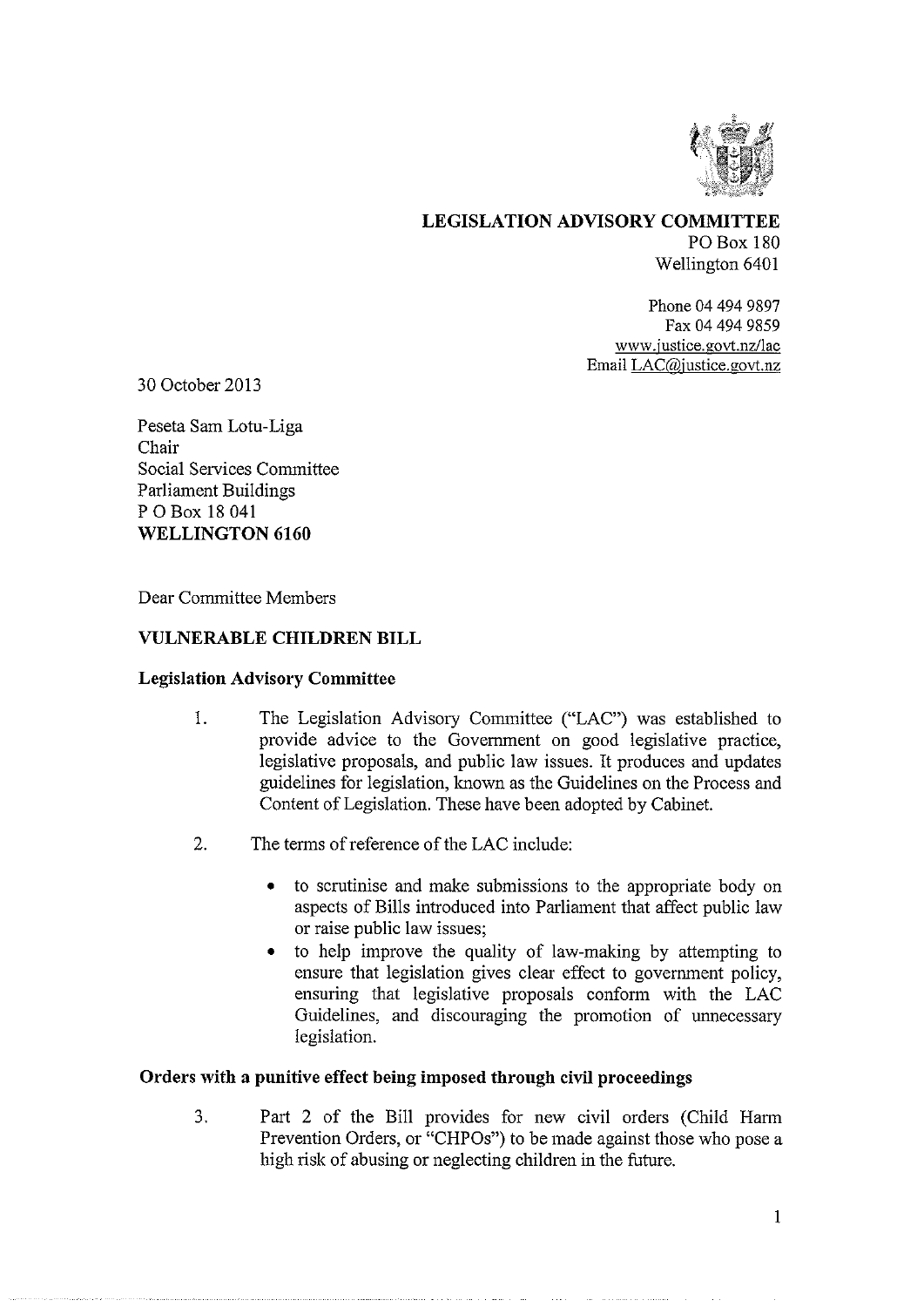

LEGISLATION ADVISORY COMMITTEE PO Box 180 Wellington 6401

> Phone 04 494 9897 Fax 04 494 9859 www.justice.govt.nz/lac Email LAC@justice.govt.nz

30 October 2013

Peseta Sam Lotu-Liga Chair Social Services Committee Parliament Buildings P 0 Box 18 041 WELLINGTON 6160

Dear Committee Members

### VULNERABLE CHILDREN BILL

### Legislation Advisory Committee

- $\overline{1}$ . The Legislation Advisory Committee ("LAC") was established to provide advice to the Government on good legislative practice, legislative proposals, and public law issues. It produces and updates guidelines for legislation, known as the Guidelines on the Process and Content of Legislation. These have been adopted by Cabinet.
- 2. The terms of reference of the LAC include:
	- to scrutinise and make submissions to the appropriate body on aspects of Bills introduced into Parliament that affect public law or raise public law issues;
	- to help improve the quality of law-making by attempting to ensure that legislation gives clear effect to government policy, ensuring that legislative proposals conform with the LAC Guidelines, and discouraging the promotion of unnecessary legislation.

### Orders with a punitive effect being imposed through civil proceedings

3. Part 2 of the Bill provides for new civil orders (Child Harm Prevention Orders, or "CHPOs") to be made against those who pose a high risk of abusing or neglecting children in the future.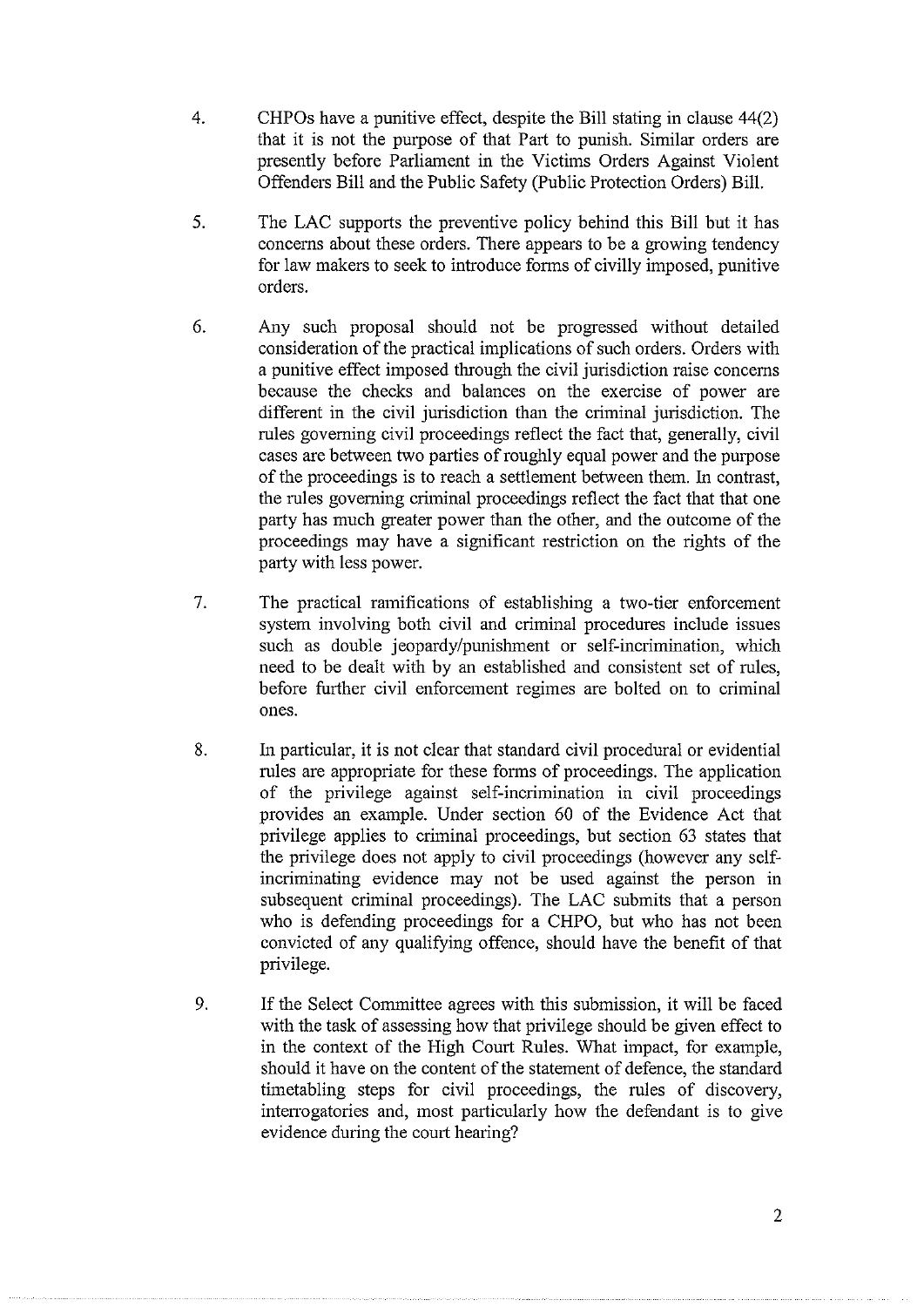- 4. CHPOs have a punitive effect, despite the Bill stating in clause 44(2) that it is not the purpose of that Part to punish. Similar orders are presently before Parliament in the Victims Orders Against Violent Offenders Bill and the Public Safety (Public Protection Orders) Bill.
- 5. The LAC supports the preventive policy behind this Bill but it has concerns about these orders. There appears to be a growing tendency for law makers to seek to introduce forms of civilly imposed, punitive orders.
- 6. Any such proposal should not be progressed without detailed consideration of the practical implications of such orders. Orders with a punitive effect imposed through the civil jurisdiction raise concerns because the checks and balances on the exercise of power are different in the civil jurisdiction than the criminal jurisdiction. The rules governing civil proceedings reflect the fact that, generally, civil cases are between two parties of roughly equal power and the purpose of the proceedings is to reach a settlement between them. In contrast, the rules governing criminal proceedings reflect the fact that that one party has much greater power than the other, and the outcome of the proceedings may have a significant restriction on the rights of the party with less power.
- 7. The practical ramifications of establishing a two-tier enforcement system involving both civil and criminal procedures include issues such as double jeopardy/punishment or self-incrimination, which need to be dealt with by an established and consistent set of rules, before further civil enforcement regimes are bolted on to criminal ones.
- 8. In particular, it is not clear that standard civil procedural or evidential rules are appropriate for these forms of proceedings. The application of the privilege against self-incrimination in civil proceedings provides an example. Under section 60 of the Evidence Act that privilege applies to criminal proceedings, but section 63 states that the privilege does not apply to civil proceedings (however any selfincriminating evidence may not be used against the person in subsequent criminal proceedings). The LAC submits that a person who is defending proceedings for a CHPO, but who has not been convicted of any qualifying offence, should have the benefit of that privilege.
- 9. If the Select Committee agrees with this submission, it will be faced with the task of assessing how that privilege should be given effect to in the context of the High Court Rules. What impact, for example, should it have on the content of the statement of defence, the standard timetabling steps for civil proceedings, the rules of discovery, interrogatories and, most particularly how the defendant is to give evidence during the court hearing?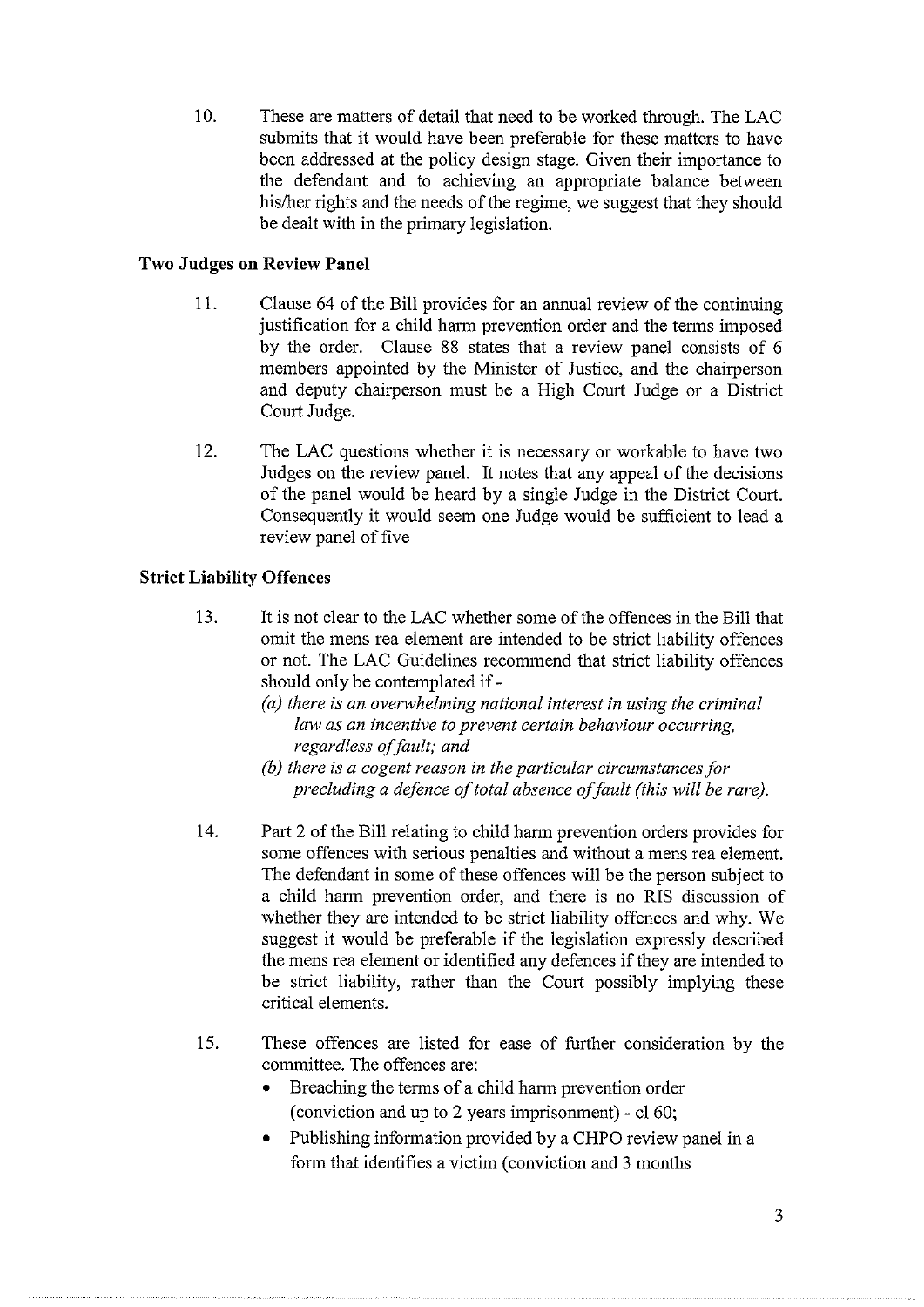10. These are matters of detail that need to be worked through. The LAC submits that it would have been preferable for these matters to have been addressed at the policy design stage. Given their importance to the defendant and to achieving an appropriate balance between his/her rights and the needs of the regime, we suggest that they should be dealt with in the primary legislation.

## **Two Judges on Review Panel**

- 11. Clause 64 of the Bill provides for an annual review of the continuing justification for a child harm prevention order and the terms imposed by the order. Clause 88 states that a review panel consists of 6 members appointed by the Minister of Justice, and the chairperson and deputy chairperson must be a High Court Judge or a District Court Judge.
- 12. The LAC questions whether it is necessary or workable to have two Judges on the review panel. It notes that any appeal of the decisions of the panel would be heard by a single Judge in the District Court. Consequently it would seem one Judge would be sufficient to lead a review panel of five

# **Strict Liability Offences**

- 13. It is not clear to the LAC whether some of the offences in the Bill that omit the mens rea element are intended to be strict liability offences or not. The LAC Guidelines recommend that strict liability offences should only be contemplated if -
	- (a) there is an overwhelming national interest in using the criminal law as an incentive to prevent certain behaviour occurring, regardless of fault; and
	- (b) there is a cogent reason in the particular circumstances for precluding a defence of total absence of fault (this will be rare).
- 14. Part 2 of the Bill relating to child harm prevention orders provides for some offences with serious penalties and without a mens rea element. The defendant in some of these offences will be the person subject to a child harm prevention order, and there is no RIS discussion of whether they are intended to be strict liability offences and why. We suggest it would be preferable if the legislation expressly described the mens rea element or identified any defences if they are intended to be strict liability, rather than the Court possibly implying these critical elements.
- 15. These offences are listed for ease of further consideration by the committee. The offences are:
	- Breaching the terms of a child harm prevention order (conviction and up to 2 years imprisomnent) - el 60;
	- Publishing information provided by a CHPO review panel in a form that identifies a victim (conviction and 3 months